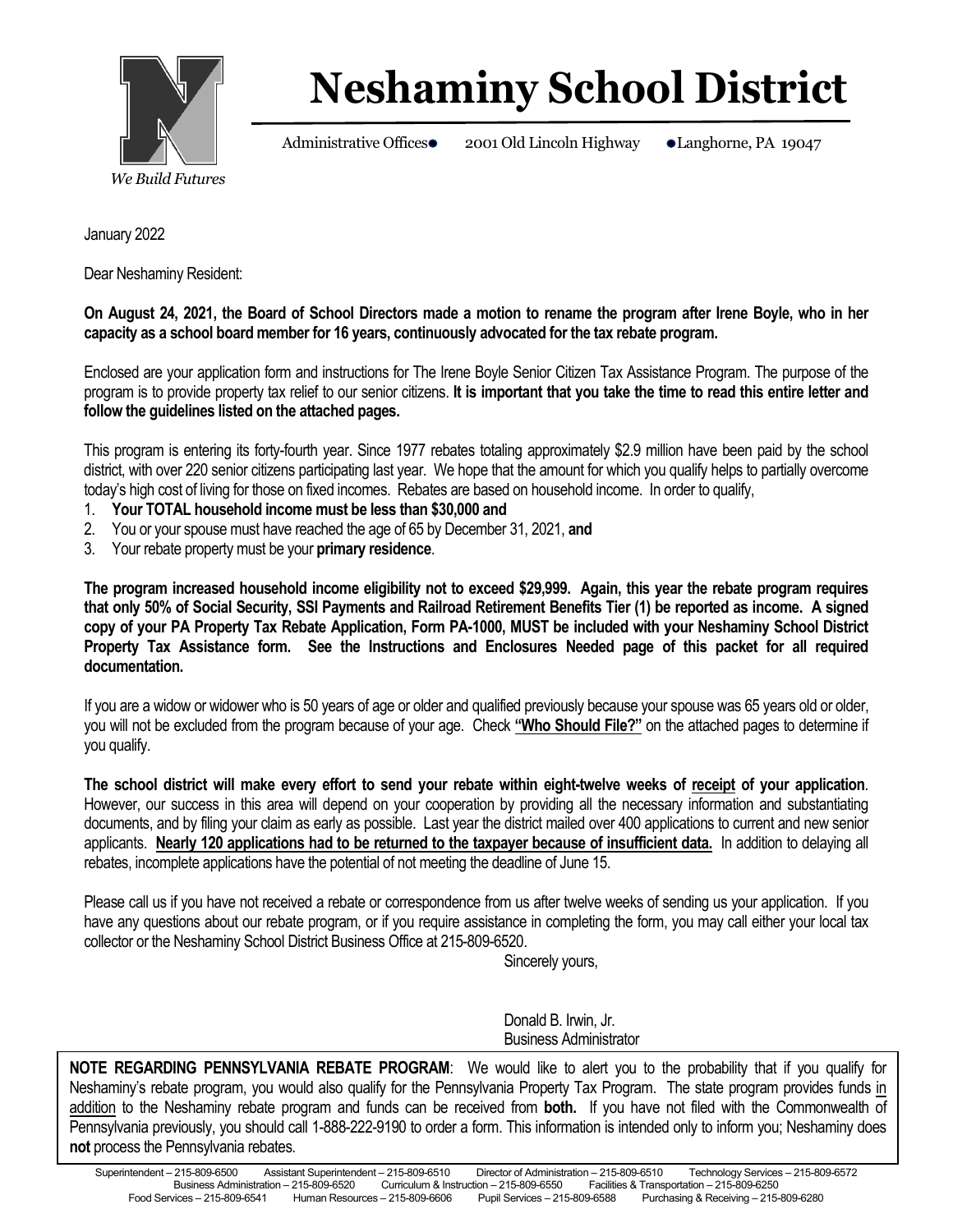

## **Neshaminy School District**

Administrative Offices 2001 Old Lincoln Highway Langhorne, PA 19047

January 2022

Dear Neshaminy Resident:

**On August 24, 2021, the Board of School Directors made a motion to rename the program after Irene Boyle, who in her capacity as a school board member for 16 years, continuously advocated for the tax rebate program.** 

Enclosed are your application form and instructions for The Irene Boyle Senior Citizen Tax Assistance Program. The purpose of the program is to provide property tax relief to our senior citizens. **It is important that you take the time to read this entire letter and follow the guidelines listed on the attached pages.**

This program is entering its forty-fourth year. Since 1977 rebates totaling approximately \$2.9 million have been paid by the school district, with over 220 senior citizens participating last year. We hope that the amount for which you qualify helps to partially overcome today's high cost of living for those on fixed incomes. Rebates are based on household income. In order to qualify,

- 1. **Your TOTAL household income must be less than \$30,000 and**
- 2. You or your spouse must have reached the age of 65 by December 31, 2021, **and**
- 3. Your rebate property must be your **primary residence**.

**The program increased household income eligibility not to exceed \$29,999. Again, this year the rebate program requires that only 50% of Social Security, SSI Payments and Railroad Retirement Benefits Tier (1) be reported as income. A signed copy of your PA Property Tax Rebate Application, Form PA-1000, MUST be included with your Neshaminy School District Property Tax Assistance form. See the Instructions and Enclosures Needed page of this packet for all required documentation.**

If you are a widow or widower who is 50 years of age or older and qualified previously because your spouse was 65 years old or older, you will not be excluded from the program because of your age. Check **"Who Should File?"** on the attached pages to determine if you qualify.

**The school district will make every effort to send your rebate within eight-twelve weeks of receipt of your application**. However, our success in this area will depend on your cooperation by providing all the necessary information and substantiating documents, and by filing your claim as early as possible. Last year the district mailed over 400 applications to current and new senior applicants. **Nearly 120 applications had to be returned to the taxpayer because of insufficient data.** In addition to delaying all rebates, incomplete applications have the potential of not meeting the deadline of June 15.

Please call us if you have not received a rebate or correspondence from us after twelve weeks of sending us your application. If you have any questions about our rebate program, or if you require assistance in completing the form, you may call either your local tax collector or the Neshaminy School District Business Office at 215-809-6520.

Sincerely yours,

Donald B. Irwin, Jr. Business Administrator

Main number – 215-809-6000 **NOTE REGARDING PENNSYLVANIA REBATE PROGRAM**: We would like to alert you to the probability that if you qualify for Neshaminy's rebate program, you would also qualify for the Pennsylvania Property Tax Program. The state program provides funds in addition to the Neshaminy rebate program and funds can be received from **both.** If you have not filed with the Commonwealth of Pennsylvania previously, you should call 1-888-222-9190 to order a form. This information is intended only to inform you; Neshaminy does **not** process the Pennsylvania rebates.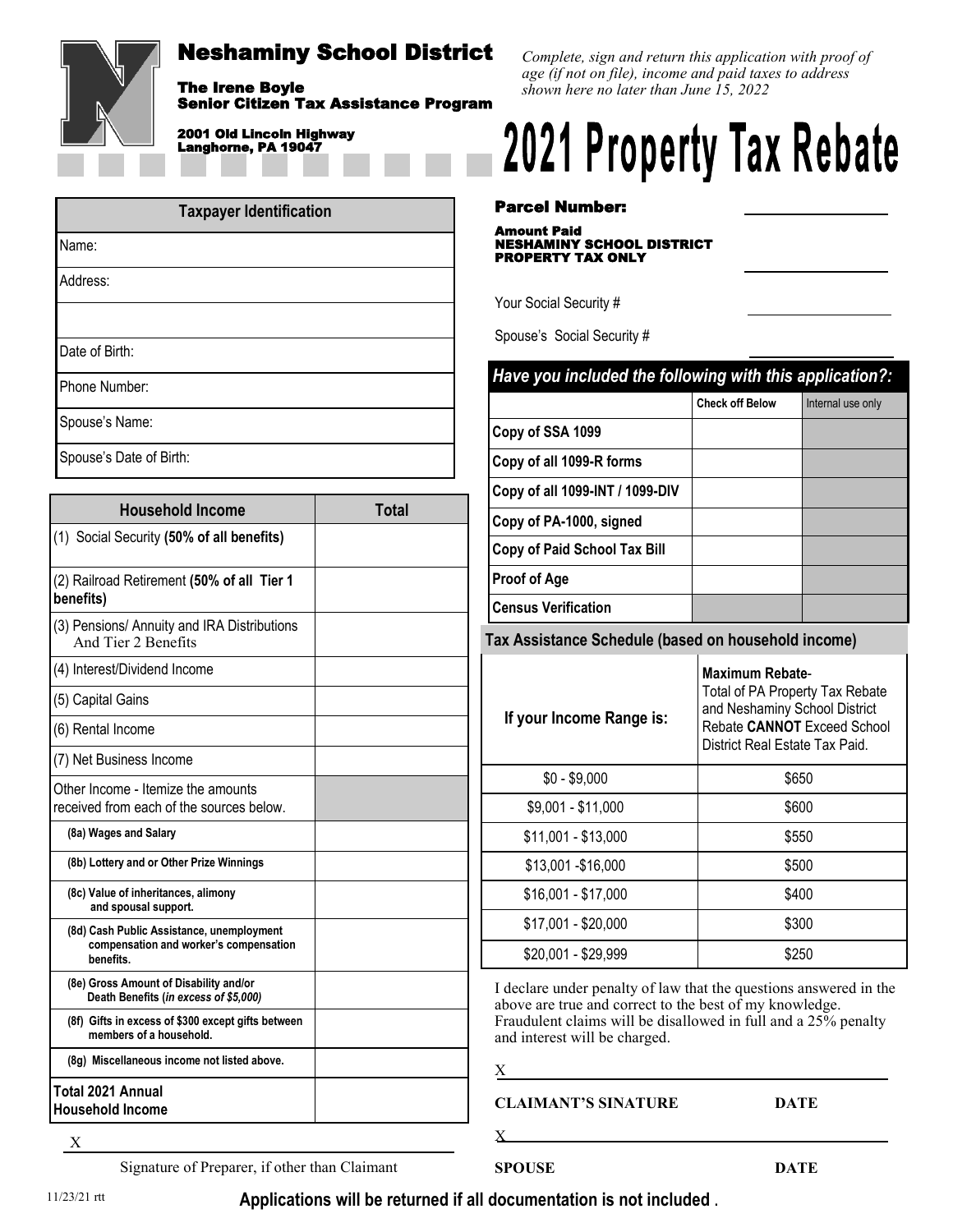

Senior Citizen Tax Assistance Program

#### 2001 Old Lincoln Highway Langhorne, PA 19047

| <b>Taxpayer Identification</b> |  |  |
|--------------------------------|--|--|
| Name:                          |  |  |
| Address:                       |  |  |
|                                |  |  |
| Date of Birth:                 |  |  |
| Phone Number:                  |  |  |

Spouse's Name:

Spouse's Date of Birth:

| <b>Household Income</b>                                                                          | <b>Total</b> |
|--------------------------------------------------------------------------------------------------|--------------|
| (1) Social Security (50% of all benefits)                                                        |              |
| (2) Railroad Retirement (50% of all Tier 1<br>benefits)                                          |              |
| (3) Pensions/ Annuity and IRA Distributions<br>And Tier 2 Benefits                               |              |
| (4) Interest/Dividend Income                                                                     |              |
| (5) Capital Gains                                                                                |              |
| (6) Rental Income                                                                                |              |
| (7) Net Business Income                                                                          |              |
| Other Income - Itemize the amounts<br>received from each of the sources below.                   |              |
| (8a) Wages and Salary                                                                            |              |
| (8b) Lottery and or Other Prize Winnings                                                         |              |
| (8c) Value of inheritances, alimony<br>and spousal support.                                      |              |
| (8d) Cash Public Assistance, unemployment<br>compensation and worker's compensation<br>benefits. |              |
| (8e) Gross Amount of Disability and/or<br>Death Benefits (in excess of \$5,000)                  |              |
| (8f) Gifts in excess of \$300 except gifts between<br>members of a household.                    |              |
| (8g) Miscellaneous income not listed above.                                                      |              |
| Total 2021 Annual<br><b>Household Income</b>                                                     |              |

*Complete, sign and return this application with proof of age (if not on file), income and paid taxes to address shown here no later than June 15, 2022*

# **2021 Property Tax Rebate**

Parcel Number:

Amount Paid NESHAMINY SCHOOL DISTRICT PROPERTY TAX ONLY

Your Social Security #

Spouse's Social Security #

| Have you included the following with this application?:                                                                                                     |                   |  |  |
|-------------------------------------------------------------------------------------------------------------------------------------------------------------|-------------------|--|--|
| <b>Check off Below</b>                                                                                                                                      | Internal use only |  |  |
|                                                                                                                                                             |                   |  |  |
|                                                                                                                                                             |                   |  |  |
|                                                                                                                                                             |                   |  |  |
|                                                                                                                                                             |                   |  |  |
|                                                                                                                                                             |                   |  |  |
|                                                                                                                                                             |                   |  |  |
|                                                                                                                                                             |                   |  |  |
| Tax Assistance Schedule (based on household income)                                                                                                         |                   |  |  |
| <b>Maximum Rebate-</b><br>Total of PA Property Tax Rebate<br>and Neshaminy School District<br>Rebate CANNOT Exceed School<br>District Real Estate Tax Paid. |                   |  |  |
|                                                                                                                                                             |                   |  |  |
|                                                                                                                                                             | \$650             |  |  |
|                                                                                                                                                             | \$600             |  |  |
|                                                                                                                                                             | \$550             |  |  |
|                                                                                                                                                             | \$500             |  |  |
|                                                                                                                                                             | \$400             |  |  |
|                                                                                                                                                             | \$300             |  |  |
|                                                                                                                                                             |                   |  |  |

I declare under penalty of law that the questions answered in the above are true and correct to the best of my knowledge. Fraudulent claims will be disallowed in full and a 25% penalty and interest will be charged.

| ٠ | ۰.<br>r |
|---|---------|
|   |         |
|   |         |
|   |         |

 $\mathbf X$ 

**CLAIMANT'S SINATURE DATE**

X

Signature of Preparer, if other than Claimant

**SPOUSE DATE**

**Applications will be returned if all documentation is not included .** 11/23/21 rtt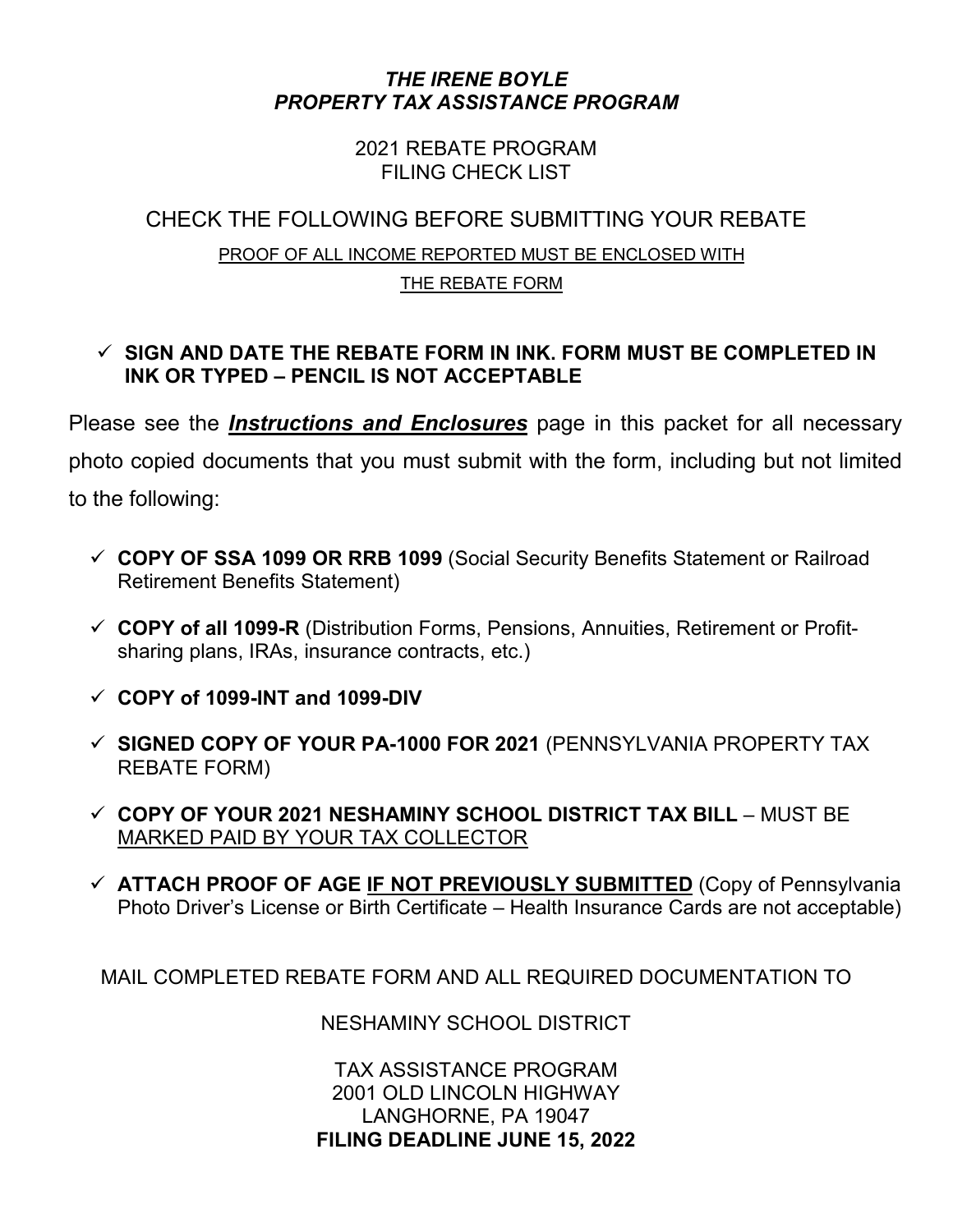#### *THE IRENE BOYLE PROPERTY TAX ASSISTANCE PROGRAM*

2021 REBATE PROGRAM FILING CHECK LIST

### CHECK THE FOLLOWING BEFORE SUBMITTING YOUR REBATE PROOF OF ALL INCOME REPORTED MUST BE ENCLOSED WITH THE REBATE FORM

#### **SIGN AND DATE THE REBATE FORM IN INK. FORM MUST BE COMPLETED IN INK OR TYPED – PENCIL IS NOT ACCEPTABLE**

Please see the *Instructions and Enclosures* page in this packet for all necessary photo copied documents that you must submit with the form, including but not limited to the following:

- **COPY OF SSA 1099 OR RRB 1099** (Social Security Benefits Statement or Railroad Retirement Benefits Statement)
- **COPY of all 1099-R** (Distribution Forms, Pensions, Annuities, Retirement or Profitsharing plans, IRAs, insurance contracts, etc.)
- **COPY of 1099-INT and 1099-DIV**
- **SIGNED COPY OF YOUR PA-1000 FOR 2021** (PENNSYLVANIA PROPERTY TAX REBATE FORM)
- **COPY OF YOUR 2021 NESHAMINY SCHOOL DISTRICT TAX BILL** MUST BE MARKED PAID BY YOUR TAX COLLECTOR
- **ATTACH PROOF OF AGE IF NOT PREVIOUSLY SUBMITTED** (Copy of Pennsylvania Photo Driver's License or Birth Certificate – Health Insurance Cards are not acceptable)

MAIL COMPLETED REBATE FORM AND ALL REQUIRED DOCUMENTATION TO

NESHAMINY SCHOOL DISTRICT

TAX ASSISTANCE PROGRAM 2001 OLD LINCOLN HIGHWAY LANGHORNE, PA 19047 **FILING DEADLINE JUNE 15, 2022**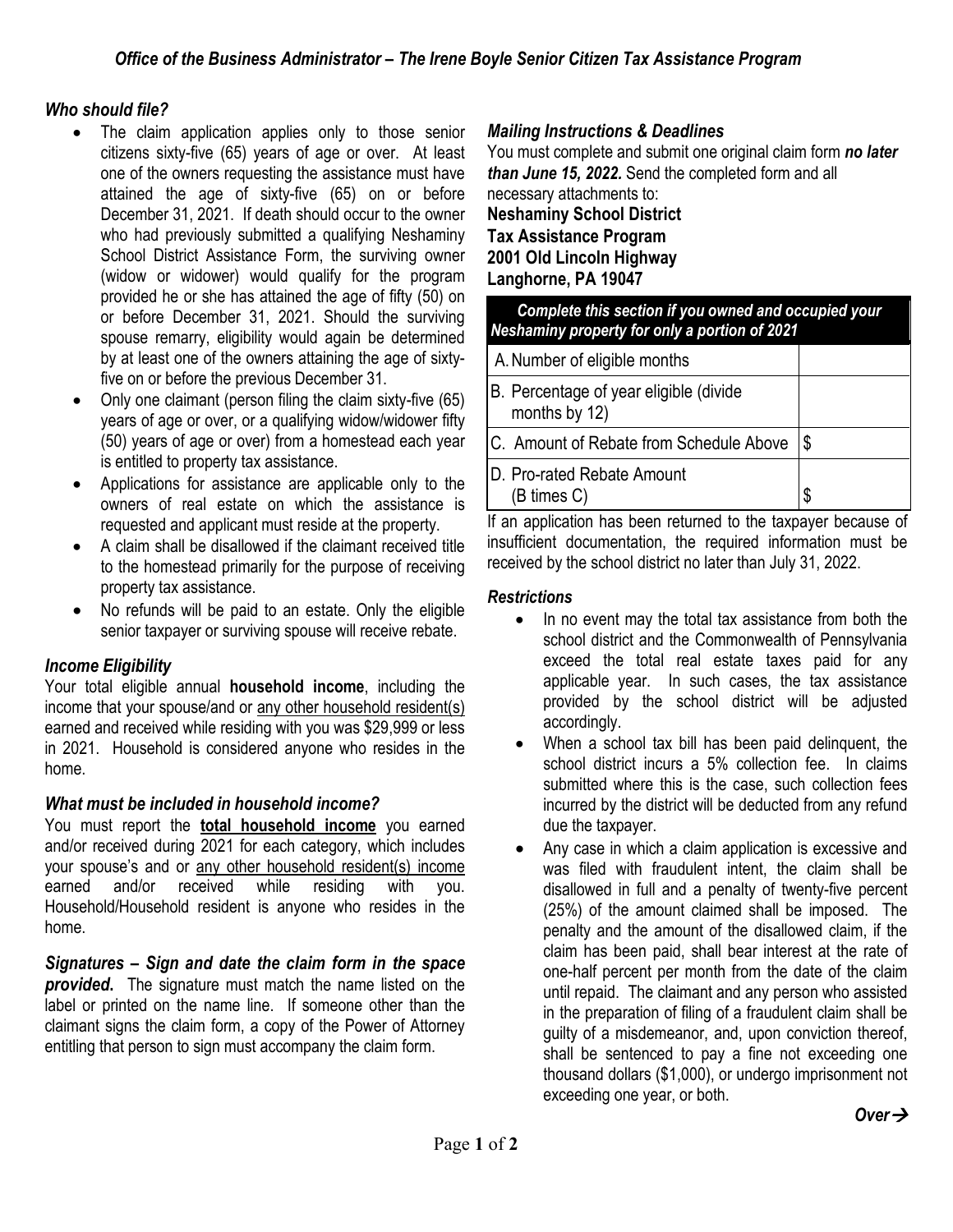#### *Who should file?*

- The claim application applies only to those senior citizens sixty-five (65) years of age or over. At least one of the owners requesting the assistance must have attained the age of sixty-five (65) on or before December 31, 2021. If death should occur to the owner who had previously submitted a qualifying Neshaminy School District Assistance Form, the surviving owner (widow or widower) would qualify for the program provided he or she has attained the age of fifty (50) on or before December 31, 2021. Should the surviving spouse remarry, eligibility would again be determined by at least one of the owners attaining the age of sixtyfive on or before the previous December 31.
- Only one claimant (person filing the claim sixty-five (65) years of age or over, or a qualifying widow/widower fifty (50) years of age or over) from a homestead each year is entitled to property tax assistance.
- Applications for assistance are applicable only to the owners of real estate on which the assistance is requested and applicant must reside at the property.
- A claim shall be disallowed if the claimant received title to the homestead primarily for the purpose of receiving property tax assistance.
- No refunds will be paid to an estate. Only the eligible senior taxpayer or surviving spouse will receive rebate.

#### *Income Eligibility*

Your total eligible annual **household income**, including the income that your spouse/and or any other household resident(s) earned and received while residing with you was \$29,999 or less in 2021. Household is considered anyone who resides in the home.

#### *What must be included in household income?*

You must report the **total household income** you earned and/or received during 2021 for each category, which includes your spouse's and or any other household resident(s) income earned and/or received while residing with you. Household/Household resident is anyone who resides in the home.

*Signatures – Sign and date the claim form in the space provided***.** The signature must match the name listed on the label or printed on the name line. If someone other than the claimant signs the claim form, a copy of the Power of Attorney entitling that person to sign must accompany the claim form.

#### *Mailing Instructions & Deadlines*

You must complete and submit one original claim form *no later than June 15, 2022.* Send the completed form and all necessary attachments to: **Neshaminy School District**

**Tax Assistance Program 2001 Old Lincoln Highway Langhorne, PA 19047**

| Complete this section if you owned and occupied your<br>Neshaminy property for only a portion of 2021 |    |  |
|-------------------------------------------------------------------------------------------------------|----|--|
| A. Number of eligible months                                                                          |    |  |
| B. Percentage of year eligible (divide<br>months by 12)                                               |    |  |
| C. Amount of Rebate from Schedule Above                                                               | \$ |  |
| D. Pro-rated Rebate Amount<br>(B times C)                                                             | \$ |  |

If an application has been returned to the taxpayer because of insufficient documentation, the required information must be received by the school district no later than July 31, 2022.

#### *Restrictions*

- In no event may the total tax assistance from both the school district and the Commonwealth of Pennsylvania exceed the total real estate taxes paid for any applicable year. In such cases, the tax assistance provided by the school district will be adjusted accordingly.
- When a school tax bill has been paid delinquent, the school district incurs a 5% collection fee. In claims submitted where this is the case, such collection fees incurred by the district will be deducted from any refund due the taxpayer.
- Any case in which a claim application is excessive and was filed with fraudulent intent, the claim shall be disallowed in full and a penalty of twenty-five percent (25%) of the amount claimed shall be imposed. The penalty and the amount of the disallowed claim, if the claim has been paid, shall bear interest at the rate of one-half percent per month from the date of the claim until repaid. The claimant and any person who assisted in the preparation of filing of a fraudulent claim shall be guilty of a misdemeanor, and, upon conviction thereof, shall be sentenced to pay a fine not exceeding one thousand dollars (\$1,000), or undergo imprisonment not exceeding one year, or both.